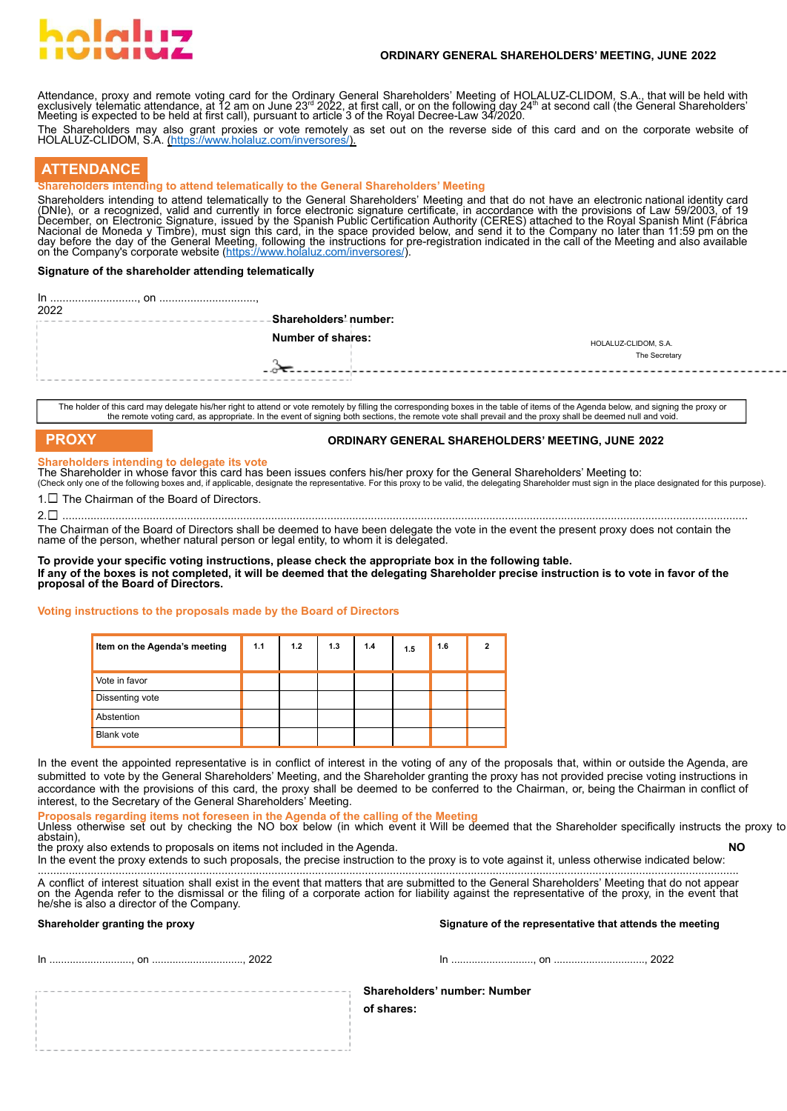# al ad

### **ORDINARY GENERAL SHAREHOLDERS' MEETING, JUNE 2022**

Attendance, proxy and remote voting card for the Ordinary General Shareholders' Meeting of HOLALUZ-CLIDOM, S.A., that will be held with<br>exclusively telematic attendance, at 12 am on June 23<sup>rd</sup> 2022, at first call, or on t

The Shareholders may also grant proxies or vote remotely as set out on the reverse side of this card and on the corporate website of HOLALUZ-CLIDOM, S.A. ([https://www.holaluz.com/inversores/\)](https://www.holaluz.com/inversores/).

# **ATTENDANCE**

## **Shareholders intending to attend telematically to the General Shareholders' Meeting**

Shareholders intending to attend telematically to the General Shareholders' Meeting and that do not have an electronic national identity card (DNIe), or a recognizĕd, valid and currently in force electronic signature certificate, in accordance with the provisions of Law 59/2003, of 19<br>December, on Electronic Signature, issued by the Spanish Public Certification Nacional de Moneda y Timbre), must sign this card, in the space provided below, and send it to the Company no later than 11:59 pm on the<br>day before the day of the General Meeting, following the instructions for pre-registr

## **Signature of the shareholder attending telematically**

| 2022 | -Shareholders' number: |                      |  |
|------|------------------------|----------------------|--|
|      | Number of shares:      | HOLALUZ-CLIDOM, S.A. |  |
|      |                        | The Secretary        |  |
|      |                        |                      |  |
|      |                        |                      |  |

The holder of this card may delegate his/her right to attend or vote remotely by filling the corresponding boxes in the table of items of the Agenda below, and signing the proxy or the remote voting card, as appropriate. In the event of signing both sections, the remote vote shall prevail and the proxy shall be deemed null and void

# **PROXY ORDINARY GENERAL SHAREHOLDERS' MEETING, JUNE 2022**

#### **Shareholders intending to delegate its vote**

The Shareholder in whose favor this card has been issues confers his/her proxy for the General Shareholders' Meeting to: (Check only one of the following boxes and, if applicable, designate the representative. For this proxy to be valid, the delegating Shareholder must sign in the place designated for this purpose).

 $1. \Box$  The Chairman of the Board of Directors.

2. ............................................................................................................................................................................................................................

The Chairman of the Board of Directors shall be deemed to have been delegate the vote in the event the present proxy does not contain the name of the person, whether natural person or legal entity, to whom it is delegated.

**To provide your specific voting instructions, please check the appropriate box in the following table.** If any of the boxes is not completed, it will be deemed that the delegating Shareholder precise instruction is to vote in favor of the **proposal of the Board of Directors.**

#### **Voting instructions to the proposals made by the Board of Directors**

| Item on the Agenda's meeting | 1.1 | 1.2 | 1.3 | 1.4 | 1.5 | 1.6 |  |
|------------------------------|-----|-----|-----|-----|-----|-----|--|
| Vote in favor                |     |     |     |     |     |     |  |
| Dissenting vote              |     |     |     |     |     |     |  |
| Abstention                   |     |     |     |     |     |     |  |
| <b>Blank vote</b>            |     |     |     |     |     |     |  |

In the event the appointed representative is in conflict of interest in the voting of any of the proposals that, within or outside the Agenda, are submitted to vote by the General Shareholders' Meeting, and the Shareholder granting the proxy has not provided precise voting instructions in accordance with the provisions of this card, the proxy shall be deemed to be conferred to the Chairman, or, being the Chairman in conflict of interest, to the Secretary of the General Shareholders' Meeting.

**Proposals regarding items not foreseen in the Agenda of the calling of the Meeting**

Unless otherwise set out by checking the NO box below (in which event it Will be deemed that the Shareholder specifically instructs the proxy to abstain), the proxy also extends to proposals on items not included in the Agenda. **NO**

In the event the proxy extends to such proposals, the precise instruction to the proxy is to vote against it, unless otherwise indicated below: .................................................................................................................................................................................................................................

A conflict of interest situation shall exist in the event that matters that are submitted to the General Shareholders' Meeting that do not appear<br>on the Agenda refer to the dismissal or the filing of a corporate action for he/she is also a director of the Company.

**Shareholder granting the proxy Signature of the representative that attends the meeting**

In ............................, on ..............................., 2022 In ............................, on ..............................., 2022

## **Shareholders' number: Number**

**of shares:**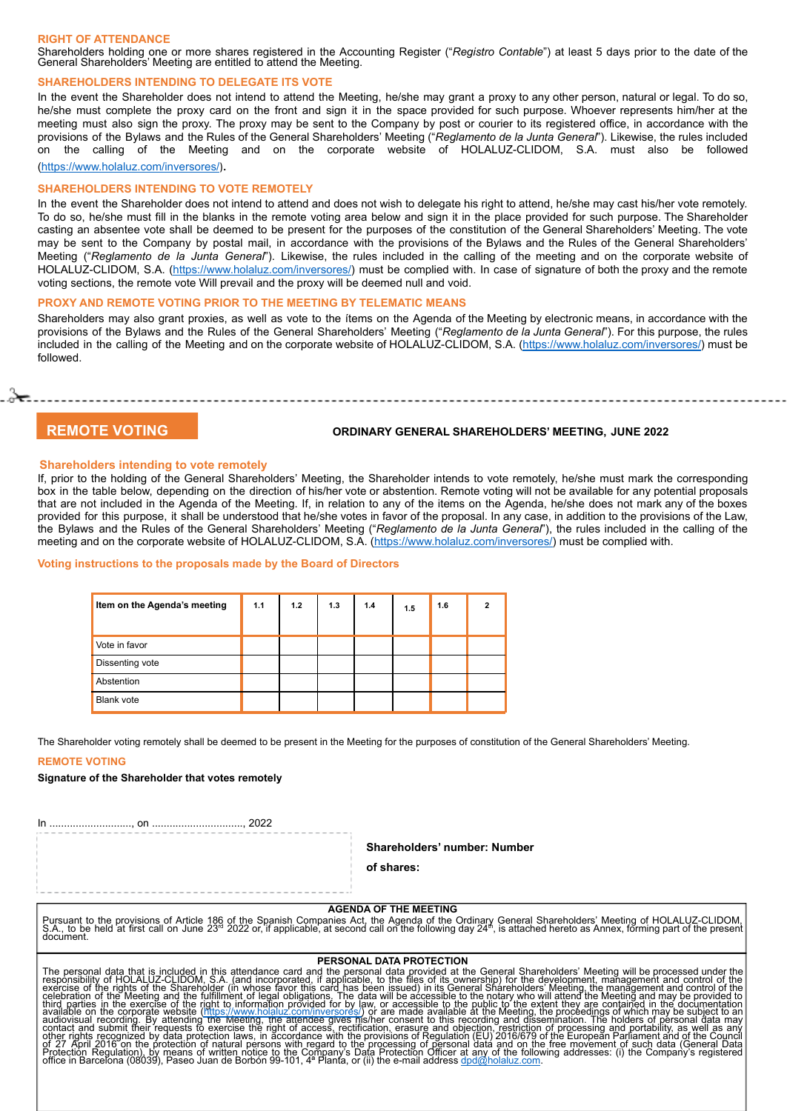#### **RIGHT OF ATTENDANCE**

Shareholders holding one or more shares registered in the Accounting Register ("*Registro Contable*") at least 5 days prior to the date of the General Shareholders' Meeting are entitled to attend the Meeting.

#### **SHAREHOLDERS INTENDING TO DELEGATE ITS VOTE**

In the event the Shareholder does not intend to attend the Meeting, he/she may grant a proxy to any other person, natural or legal. To do so, he/she must complete the proxy card on the front and sign it in the space provided for such purpose. Whoever represents him/her at the meeting must also sign the proxy. The proxy may be sent to the Company by post or courier to its registered office, in accordance with the provisions of the Bylaws and the Rules of the General Shareholders' Meeting ("*Reglamento de la Junta General*"). Likewise, the rules included on the calling of the Meeting and on the corporate website of HOLALUZ-CLIDOM, S.A. must also be followed [\(https://www.holaluz.com/inversores/](https://www.holaluz.com/inversores/)).

#### **SHAREHOLDERS INTENDING TO VOTE REMOTELY**

In the event the Shareholder does not intend to attend and does not wish to delegate his right to attend, he/she may cast his/her vote remotely. To do so, he/she must fill in the blanks in the remote voting area below and sign it in the place provided for such purpose. The Shareholder casting an absentee vote shall be deemed to be present for the purposes of the constitution of the General Shareholders' Meeting. The vote may be sent to the Company by postal mail, in accordance with the provisions of the Bylaws and the Rules of the General Shareholders' Meeting ("*Reglamento de la Junta General*"). Likewise, the rules included in the calling of the meeting and on the corporate website of HOLALUZ-CLIDOM, S.A. [\(https://www.holaluz.com/inversores/](https://www.holaluz.com/inversores/)) must be complied with. In case of signature of both the proxy and the remote voting sections, the remote vote Will prevail and the proxy will be deemed null and void.

#### **PROXY AND REMOTE VOTING PRIOR TO THE MEETING BY TELEMATIC MEANS**

Shareholders may also grant proxies, as well as vote to the ítems on the Agenda of the Meeting by electronic means, in accordance with the provisions of the Bylaws and the Rules of the General Shareholders' Meeting ("*Reglamento de la Junta General*"). For this purpose, the rules included in the calling of the Meeting and on the corporate website of HOLALUZ-CLIDOM, S.A. (<https://www.holaluz.com/inversores/>) must be followed.

ڃح⊙.

# **REMOTE VOTING ORDINARY GENERAL SHAREHOLDERS' MEETING, JUNE 2022**

#### **Shareholders intending to vote remotely**

If, prior to the holding of the General Shareholders' Meeting, the Shareholder intends to vote remotely, he/she must mark the corresponding box in the table below, depending on the direction of his/her vote or abstention. Remote voting will not be available for any potential proposals that are not included in the Agenda of the Meeting. If, in relation to any of the items on the Agenda, he/she does not mark any of the boxes provided for this purpose, it shall be understood that he/she votes in favor of the proposal. In any case, in addition to the provisions of the Law, the Bylaws and the Rules of the General Shareholders' Meeting ("*Reglamento de la Junta General*"), the rules included in the calling of the meeting and on the corporate website of HOLALUZ-CLIDOM, S.A. [\(https://www.holaluz.com/inversores/\)](https://www.holaluz.com/inversores/) must be complied with.

#### **Voting instructions to the proposals made by the Board of Directors**

| Item on the Agenda's meeting | 1.1 | 1.2 | 1.3 | 1.4 | 1.5 | 1.6 |  |
|------------------------------|-----|-----|-----|-----|-----|-----|--|
| Vote in favor                |     |     |     |     |     |     |  |
| Dissenting vote              |     |     |     |     |     |     |  |
| Abstention                   |     |     |     |     |     |     |  |
| <b>Blank vote</b>            |     |     |     |     |     |     |  |

The Shareholder voting remotely shall be deemed to be present in the Meeting for the purposes of constitution of the General Shareholders' Meeting.

#### **REMOTE VOTING**

#### **Signature of the Shareholder that votes remotely**

In ............................, on ..............................., 2022

**Shareholders' number: Number**

#### **of shares:**

**AGENDA OF THE MEETING** Pursuant to the provisions of Article 186 of the Spanish Companies Act, the Agenda of the Ordinary General Shareholders' Meeting of HOLALUZ-CLIDOM,<br>S.A., to be held at first call on June 23ª 2022 or, if applicable, at seco

#### **PERSONAL DATA PROTECTION**

The personal data that is included in this attendance card and the personal data provided at the General Shareholders' Meeting will be processed under the experission of the experission of the experission of the experissio